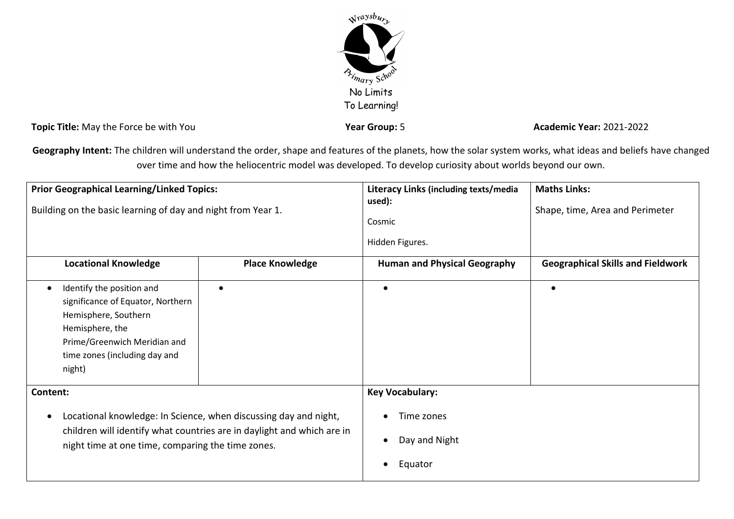

**Topic Title:** May the Force be with You **Year Group:** 5 **Year Group:** 5 **Academic Year:** 2021-2022

Geography Intent: The children will understand the order, shape and features of the planets, how the solar system works, what ideas and beliefs have changed over time and how the heliocentric model was developed. To develop curiosity about worlds beyond our own.

| <b>Prior Geographical Learning/Linked Topics:</b><br>Building on the basic learning of day and night from Year 1.                                                                                                        |                        | Literacy Links (including texts/media<br>used):<br>Cosmic<br>Hidden Figures. | <b>Maths Links:</b><br>Shape, time, Area and Perimeter |
|--------------------------------------------------------------------------------------------------------------------------------------------------------------------------------------------------------------------------|------------------------|------------------------------------------------------------------------------|--------------------------------------------------------|
| <b>Locational Knowledge</b>                                                                                                                                                                                              | <b>Place Knowledge</b> | <b>Human and Physical Geography</b>                                          | <b>Geographical Skills and Fieldwork</b>               |
| Identify the position and<br>$\bullet$<br>significance of Equator, Northern<br>Hemisphere, Southern<br>Hemisphere, the<br>Prime/Greenwich Meridian and<br>time zones (including day and<br>night)                        | $\bullet$              | $\bullet$                                                                    | $\bullet$                                              |
| Content:<br>Locational knowledge: In Science, when discussing day and night,<br>$\bullet$<br>children will identify what countries are in daylight and which are in<br>night time at one time, comparing the time zones. |                        | <b>Key Vocabulary:</b><br>Time zones                                         |                                                        |
|                                                                                                                                                                                                                          |                        | Day and Night<br>Equator                                                     |                                                        |